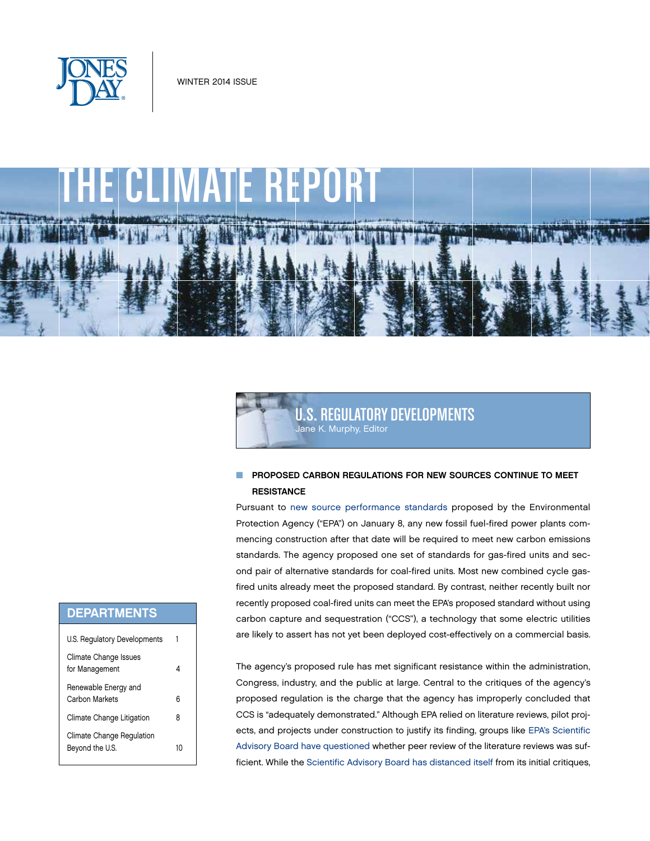





## **NO PROPOSED CARBON REGULATIONS FOR NEW SOURCES CONTINUE TO MEET RESISTANCE**

Pursuant to [new source performance standards](http://www.gpo.gov/fdsys/pkg/FR-2014-01-08/pdf/2013-28668.pdf) proposed by the Environmental Protection Agency ("EPA") on January 8, any new fossil fuel-fired power plants commencing construction after that date will be required to meet new carbon emissions standards. The agency proposed one set of standards for gas-fired units and second pair of alternative standards for coal-fired units. Most new combined cycle gasfired units already meet the proposed standard. By contrast, neither recently built nor recently proposed coal-fired units can meet the EPA's proposed standard without using carbon capture and sequestration ("CCS"), a technology that some electric utilities are likely to assert has not yet been deployed cost-effectively on a commercial basis.

The agency's proposed rule has met significant resistance within the administration, Congress, industry, and the public at large. Central to the critiques of the agency's proposed regulation is the charge that the agency has improperly concluded that CCS is "adequately demonstrated." Although EPA relied on literature reviews, pilot projects, and projects under construction to justify its finding, groups like [EPA's Scientific](http://yosemite.epa.gov/sab/sabproduct.nsf/18B19D36D88DDA1685257C220067A3EE/$File/SAB+Wk+GRP+Memo+Spring+2013+Reg+Rev+131213.pdf) [Advisory Board have questioned](http://yosemite.epa.gov/sab/sabproduct.nsf/18B19D36D88DDA1685257C220067A3EE/$File/SAB+Wk+GRP+Memo+Spring+2013+Reg+Rev+131213.pdf) whether peer review of the literature reviews was sufficient. While the [Scientific Advisory Board has distanced itself](http://yosemite.epa.gov/sab/sabproduct.nsf/F43D89070E89893485257C5A007AF573/$File/SAB+work+grp+memo+w+attach+20140107.pdf) from its initial critiques,

# **DEPARTMENTS**

| U.S. Regulatory Developments                 |    |
|----------------------------------------------|----|
| Climate Change Issues<br>for Management      | 4  |
| Renewable Energy and<br>Carbon Markets       | հ  |
| Climate Change Litigation                    | 8  |
| Climate Change Regulation<br>Beyond the U.S. | 10 |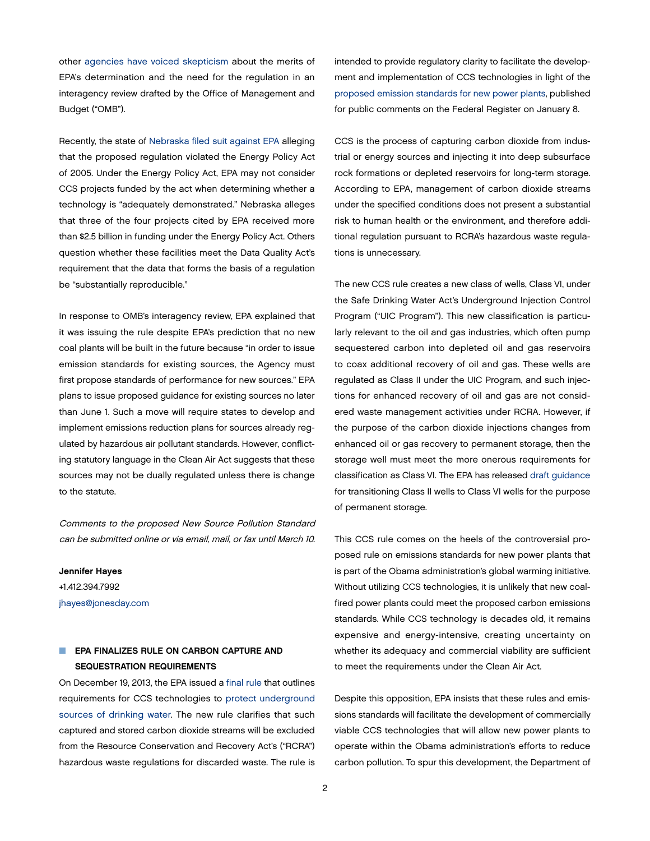other [agencies have voiced skepticism](http://op.bna.com/env.nsf/id/aada-9f8n39/$File/EPA August 19 Response%20to OMB.pdf) about the merits of EPA's determination and the need for the regulation in an interagency review drafted by the Office of Management and Budget ("OMB").

Recently, the state of [Nebraska filed suit against EPA](http://www.ago.ne.gov/resources/dyn/files/1147648z25f73b75/_fn/011514_EPA+Complaint.pdf) alleging that the proposed regulation violated the Energy Policy Act of 2005. Under the Energy Policy Act, EPA may not consider CCS projects funded by the act when determining whether a technology is "adequately demonstrated." Nebraska alleges that three of the four projects cited by EPA received more than \$2.5 billion in funding under the Energy Policy Act. Others question whether these facilities meet the Data Quality Act's requirement that the data that forms the basis of a regulation be "substantially reproducible."

In response to OMB's interagency review, EPA explained that it was issuing the rule despite EPA's prediction that no new coal plants will be built in the future because "in order to issue emission standards for existing sources, the Agency must first propose standards of performance for new sources." EPA plans to issue proposed guidance for existing sources no later than June 1. Such a move will require states to develop and implement emissions reduction plans for sources already regulated by hazardous air pollutant standards. However, conflicting statutory language in the Clean Air Act suggests that these sources may not be dually regulated unless there is change to the statute.

Comments to the proposed New Source Pollution Standard can be submitted online or via email, mail, or fax until March 10.

Jennifer Hayes +1.412.394.7992 [jhayes@jonesday.com](mailto:jhayes@jonesday.com)

# EPA FINALIZES RULE ON CARBON CAPTURE AND SEQUESTRATION REQUIREMENTS

On December 19, 2013, the EPA issued a [final rule](http://www.gpo.gov/fdsys/pkg/FR-2014-01-03/pdf/2013-31246.pdf) that outlines requirements for CCS technologies to [protect underground](http://www.epa.gov/wastes/nonhaz/industrial/geo-sequester/)  [sources of drinking water.](http://www.epa.gov/wastes/nonhaz/industrial/geo-sequester/) The new rule clarifies that such captured and stored carbon dioxide streams will be excluded from the Resource Conservation and Recovery Act's ("RCRA") hazardous waste regulations for discarded waste. The rule is

intended to provide regulatory clarity to facilitate the development and implementation of CCS technologies in light of the [proposed emission standards for new power plants](http://www.gpo.gov/fdsys/pkg/FR-2014-01-08/pdf/2013-28668.pdf), published for public comments on the Federal Register on January 8.

CCS is the process of capturing carbon dioxide from industrial or energy sources and injecting it into deep subsurface rock formations or depleted reservoirs for long-term storage. According to EPA, management of carbon dioxide streams under the specified conditions does not present a substantial risk to human health or the environment, and therefore additional regulation pursuant to RCRA's hazardous waste regulations is unnecessary.

The new CCS rule creates a new class of wells, Class VI, under the Safe Drinking Water Act's Underground Injection Control Program ("UIC Program"). This new classification is particularly relevant to the oil and gas industries, which often pump sequestered carbon into depleted oil and gas reservoirs to coax additional recovery of oil and gas. These wells are regulated as Class II under the UIC Program, and such injections for enhanced recovery of oil and gas are not considered waste management activities under RCRA. However, if the purpose of the carbon dioxide injections changes from enhanced oil or gas recovery to permanent storage, then the storage well must meet the more onerous requirements for classification as Class VI. The EPA has released [draft guidance](http://water.epa.gov/type/groundwater/uic/class6/upload/epa816p13004.pdf) for transitioning Class II wells to Class VI wells for the purpose of permanent storage.

This CCS rule comes on the heels of the controversial proposed rule on emissions standards for new power plants that is part of the Obama administration's global warming initiative. Without utilizing CCS technologies, it is unlikely that new coalfired power plants could meet the proposed carbon emissions standards. While CCS technology is decades old, it remains expensive and energy-intensive, creating uncertainty on whether its adequacy and commercial viability are sufficient to meet the requirements under the Clean Air Act.

Despite this opposition, EPA insists that these rules and emissions standards will facilitate the development of commercially viable CCS technologies that will allow new power plants to operate within the Obama administration's efforts to reduce carbon pollution. To spur this development, the Department of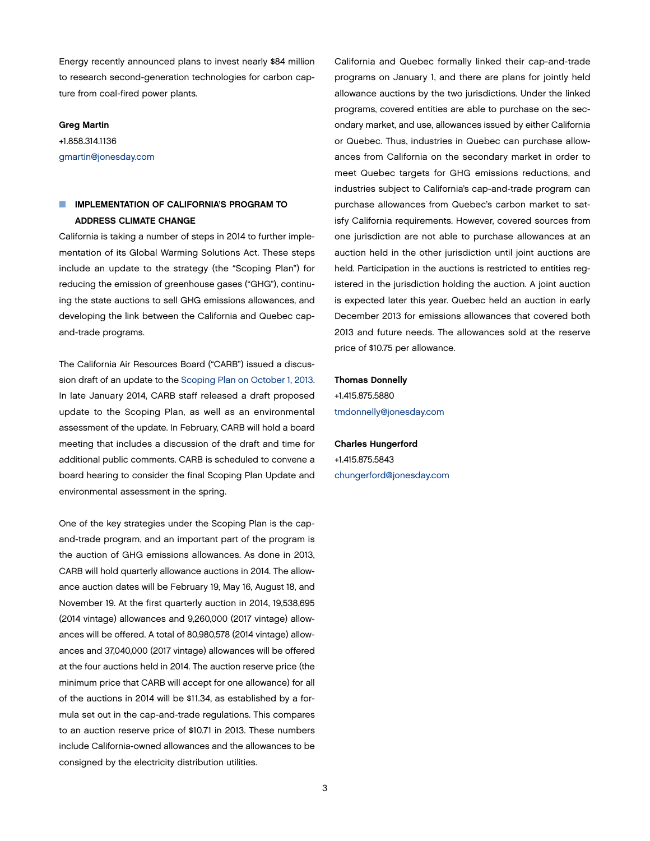Energy recently announced plans to invest nearly \$84 million to research second-generation technologies for carbon capture from coal-fired power plants.

#### Greg Martin

+1.858.314.1136 [gmartin@jonesday.com](mailto:gmartin@jonesday.com)

# IMPLEMENTATION OF CALIFORNIA'S PROGRAM TO ADDRESS CLIMATE CHANGE

California is taking a number of steps in 2014 to further implementation of its Global Warming Solutions Act. These steps include an update to the strategy (the "Scoping Plan") for reducing the emission of greenhouse gases ("GHG"), continuing the state auctions to sell GHG emissions allowances, and developing the link between the California and Quebec capand-trade programs.

The California Air Resources Board ("CARB") issued a discussion draft of an update to the [Scoping Plan on October 1, 2013](http://thewritestuff.jonesday.com/rv/ff00137249341a954a2f17ec6a43a7e60f75adc8/p=12). In late January 2014, CARB staff released a draft proposed update to the Scoping Plan, as well as an environmental assessment of the update. In February, CARB will hold a board meeting that includes a discussion of the draft and time for additional public comments. CARB is scheduled to convene a board hearing to consider the final Scoping Plan Update and environmental assessment in the spring.

One of the key strategies under the Scoping Plan is the capand-trade program, and an important part of the program is the auction of GHG emissions allowances. As done in 2013, CARB will hold quarterly allowance auctions in 2014. The allowance auction dates will be February 19, May 16, August 18, and November 19. At the first quarterly auction in 2014, 19,538,695 (2014 vintage) allowances and 9,260,000 (2017 vintage) allowances will be offered. A total of 80,980,578 (2014 vintage) allowances and 37,040,000 (2017 vintage) allowances will be offered at the four auctions held in 2014. The auction reserve price (the minimum price that CARB will accept for one allowance) for all of the auctions in 2014 will be \$11.34, as established by a formula set out in the cap-and-trade regulations. This compares to an auction reserve price of \$10.71 in 2013. These numbers include California-owned allowances and the allowances to be consigned by the electricity distribution utilities.

California and Quebec formally linked their cap-and-trade programs on January 1, and there are plans for jointly held allowance auctions by the two jurisdictions. Under the linked programs, covered entities are able to purchase on the secondary market, and use, allowances issued by either California or Quebec. Thus, industries in Quebec can purchase allowances from California on the secondary market in order to meet Quebec targets for GHG emissions reductions, and industries subject to California's cap-and-trade program can purchase allowances from Quebec's carbon market to satisfy California requirements. However, covered sources from one jurisdiction are not able to purchase allowances at an auction held in the other jurisdiction until joint auctions are held. Participation in the auctions is restricted to entities registered in the jurisdiction holding the auction. A joint auction is expected later this year. Quebec held an auction in early December 2013 for emissions allowances that covered both 2013 and future needs. The allowances sold at the reserve price of \$10.75 per allowance.

## Thomas Donnelly

+1.415.875.5880 [tmdonnelly@jonesday.com](mailto:tmdonnelly@jonesday.com)

Charles Hungerford +1.415.875.5843 [chungerford@jonesday.com](mailto:chungerford@jonesday.com)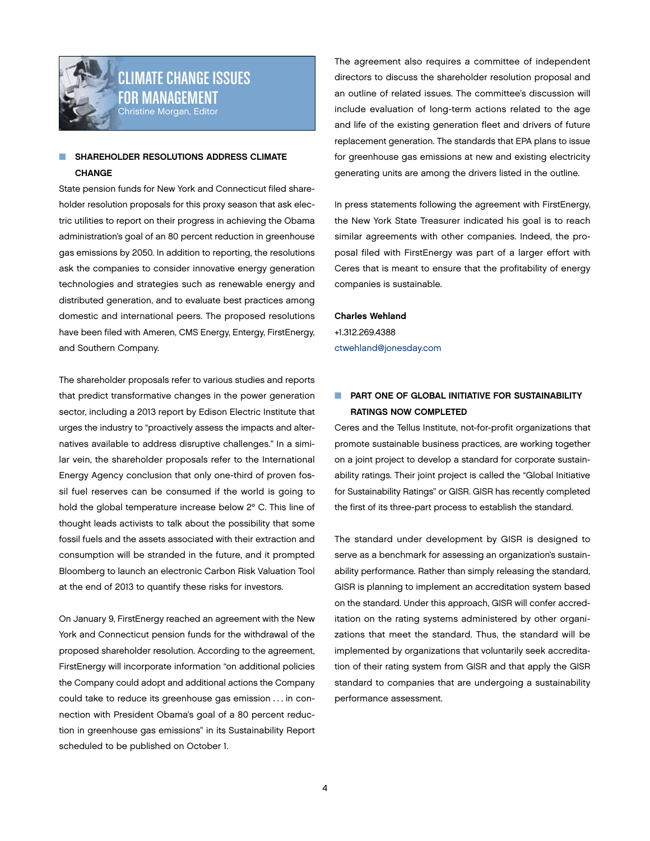<span id="page-3-0"></span>

# CLIMATE CHANGE ISSUES FOR MANAGEMENT Christine Morgan, Editor

## SHAREHOLDER RESOLUTIONS ADDRESS CLIMATE CHANGE

State pension funds for New York and Connecticut filed shareholder resolution proposals for this proxy season that ask electric utilities to report on their progress in achieving the Obama administration's goal of an 80 percent reduction in greenhouse gas emissions by 2050. In addition to reporting, the resolutions ask the companies to consider innovative energy generation technologies and strategies such as renewable energy and distributed generation, and to evaluate best practices among domestic and international peers. The proposed resolutions have been filed with Ameren, CMS Energy, Entergy, FirstEnergy, and Southern Company.

The shareholder proposals refer to various studies and reports that predict transformative changes in the power generation sector, including a 2013 report by Edison Electric Institute that urges the industry to "proactively assess the impacts and alternatives available to address disruptive challenges." In a similar vein, the shareholder proposals refer to the International Energy Agency conclusion that only one-third of proven fossil fuel reserves can be consumed if the world is going to hold the global temperature increase below 2º C. This line of thought leads activists to talk about the possibility that some fossil fuels and the assets associated with their extraction and consumption will be stranded in the future, and it prompted Bloomberg to launch an electronic Carbon Risk Valuation Tool at the end of 2013 to quantify these risks for investors.

On January 9, FirstEnergy reached an agreement with the New York and Connecticut pension funds for the withdrawal of the proposed shareholder resolution. According to the agreement, FirstEnergy will incorporate information "on additional policies the Company could adopt and additional actions the Company could take to reduce its greenhouse gas emission . . . in connection with President Obama's goal of a 80 percent reduction in greenhouse gas emissions" in its Sustainability Report scheduled to be published on October 1.

The agreement also requires a committee of independent directors to discuss the shareholder resolution proposal and an outline of related issues. The committee's discussion will include evaluation of long-term actions related to the age and life of the existing generation fleet and drivers of future replacement generation. The standards that EPA plans to issue for greenhouse gas emissions at new and existing electricity generating units are among the drivers listed in the outline.

In press statements following the agreement with FirstEnergy, the New York State Treasurer indicated his goal is to reach similar agreements with other companies. Indeed, the proposal filed with FirstEnergy was part of a larger effort with Ceres that is meant to ensure that the profitability of energy companies is sustainable.

## Charles Wehland

+1.312.269.4388 [ctwehland@jonesday.com](mailto:ctwehland@jonesday.com)

# **NUMBER OF GLOBAL INITIATIVE FOR SUSTAINABILITY** RATINGS NOW COMPLETED

Ceres and the Tellus Institute, not-for-profit organizations that promote sustainable business practices, are working together on a joint project to develop a standard for corporate sustainability ratings. Their joint project is called the "Global Initiative for Sustainability Ratings" or GISR. GISR has recently completed the first of its three-part process to establish the standard.

The standard under development by GISR is designed to serve as a benchmark for assessing an organization's sustainability performance. Rather than simply releasing the standard, GISR is planning to implement an accreditation system based on the standard. Under this approach, GISR will confer accreditation on the rating systems administered by other organizations that meet the standard. Thus, the standard will be implemented by organizations that voluntarily seek accreditation of their rating system from GISR and that apply the GISR standard to companies that are undergoing a sustainability performance assessment.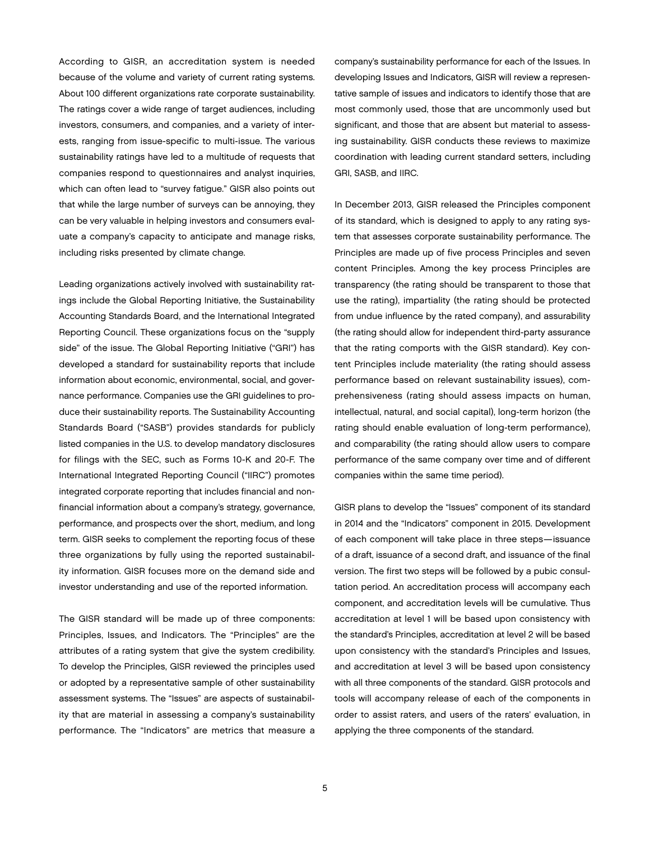According to GISR, an accreditation system is needed because of the volume and variety of current rating systems. About 100 different organizations rate corporate sustainability. The ratings cover a wide range of target audiences, including investors, consumers, and companies, and a variety of interests, ranging from issue-specific to multi-issue. The various sustainability ratings have led to a multitude of requests that companies respond to questionnaires and analyst inquiries, which can often lead to "survey fatigue." GISR also points out that while the large number of surveys can be annoying, they can be very valuable in helping investors and consumers evaluate a company's capacity to anticipate and manage risks, including risks presented by climate change.

Leading organizations actively involved with sustainability ratings include the Global Reporting Initiative, the Sustainability Accounting Standards Board, and the International Integrated Reporting Council. These organizations focus on the "supply side" of the issue. The Global Reporting Initiative ("GRI") has developed a standard for sustainability reports that include information about economic, environmental, social, and governance performance. Companies use the GRI guidelines to produce their sustainability reports. The Sustainability Accounting Standards Board ("SASB") provides standards for publicly listed companies in the U.S. to develop mandatory disclosures for filings with the SEC, such as Forms 10-K and 20-F. The International Integrated Reporting Council ("IIRC") promotes integrated corporate reporting that includes financial and nonfinancial information about a company's strategy, governance, performance, and prospects over the short, medium, and long term. GISR seeks to complement the reporting focus of these three organizations by fully using the reported sustainability information. GISR focuses more on the demand side and investor understanding and use of the reported information.

The GISR standard will be made up of three components: Principles, Issues, and Indicators. The "Principles" are the attributes of a rating system that give the system credibility. To develop the Principles, GISR reviewed the principles used or adopted by a representative sample of other sustainability assessment systems. The "Issues" are aspects of sustainability that are material in assessing a company's sustainability performance. The "Indicators" are metrics that measure a

company's sustainability performance for each of the Issues. In developing Issues and Indicators, GISR will review a representative sample of issues and indicators to identify those that are most commonly used, those that are uncommonly used but significant, and those that are absent but material to assessing sustainability. GISR conducts these reviews to maximize coordination with leading current standard setters, including GRI, SASB, and IIRC.

In December 2013, GISR released the Principles component of its standard, which is designed to apply to any rating system that assesses corporate sustainability performance. The Principles are made up of five process Principles and seven content Principles. Among the key process Principles are transparency (the rating should be transparent to those that use the rating), impartiality (the rating should be protected from undue influence by the rated company), and assurability (the rating should allow for independent third-party assurance that the rating comports with the GISR standard). Key content Principles include materiality (the rating should assess performance based on relevant sustainability issues), comprehensiveness (rating should assess impacts on human, intellectual, natural, and social capital), long-term horizon (the rating should enable evaluation of long-term performance), and comparability (the rating should allow users to compare performance of the same company over time and of different companies within the same time period).

GISR plans to develop the "Issues" component of its standard in 2014 and the "Indicators" component in 2015. Development of each component will take place in three steps—issuance of a draft, issuance of a second draft, and issuance of the final version. The first two steps will be followed by a pubic consultation period. An accreditation process will accompany each component, and accreditation levels will be cumulative. Thus accreditation at level 1 will be based upon consistency with the standard's Principles, accreditation at level 2 will be based upon consistency with the standard's Principles and Issues, and accreditation at level 3 will be based upon consistency with all three components of the standard. GISR protocols and tools will accompany release of each of the components in order to assist raters, and users of the raters' evaluation, in applying the three components of the standard.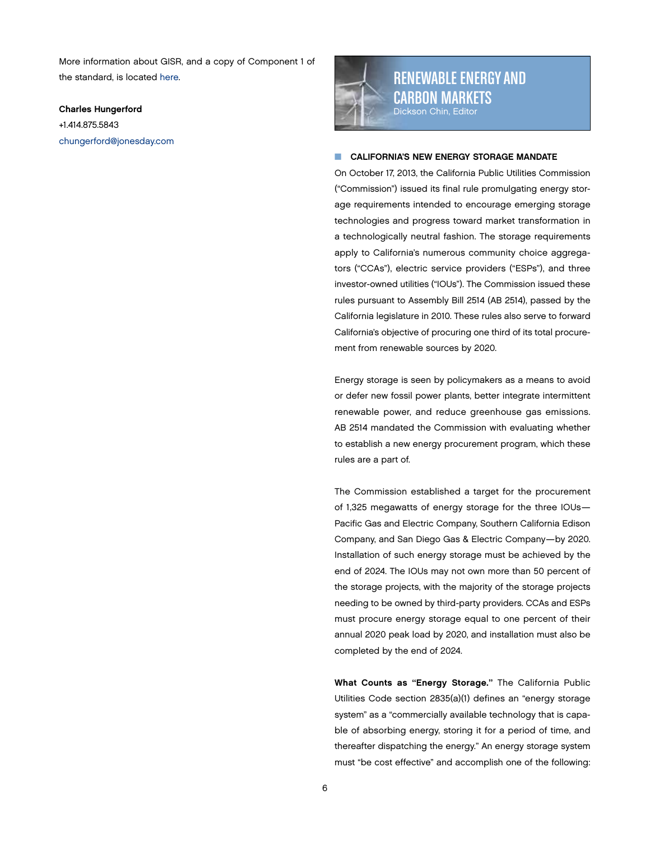<span id="page-5-0"></span>More information about GISR, and a copy of Component 1 of the standard, is located [here](http://ratesustainability.org/standards/principles/#form).

Charles Hungerford +1.414.875.5843 [chungerford@jonesday.com](mailto:chungerford@jonesday.com)



RENEWABLE ENERGY AND CARBON MARKETS Dickson Chin, Editor

### **CALIFORNIA'S NEW ENERGY STORAGE MANDATE**

On October 17, 2013, the California Public Utilities Commission ("Commission") issued its final rule promulgating energy storage requirements intended to encourage emerging storage technologies and progress toward market transformation in a technologically neutral fashion. The storage requirements apply to California's numerous community choice aggregators ("CCAs"), electric service providers ("ESPs"), and three investor-owned utilities ("IOUs"). The Commission issued these rules pursuant to Assembly Bill 2514 (AB 2514), passed by the California legislature in 2010. These rules also serve to forward California's objective of procuring one third of its total procurement from renewable sources by 2020.

Energy storage is seen by policymakers as a means to avoid or defer new fossil power plants, better integrate intermittent renewable power, and reduce greenhouse gas emissions. AB 2514 mandated the Commission with evaluating whether to establish a new energy procurement program, which these rules are a part of.

The Commission established a target for the procurement of 1,325 megawatts of energy storage for the three IOUs— Pacific Gas and Electric Company, Southern California Edison Company, and San Diego Gas & Electric Company—by 2020. Installation of such energy storage must be achieved by the end of 2024. The IOUs may not own more than 50 percent of the storage projects, with the majority of the storage projects needing to be owned by third-party providers. CCAs and ESPs must procure energy storage equal to one percent of their annual 2020 peak load by 2020, and installation must also be completed by the end of 2024.

What Counts as "Energy Storage." The California Public Utilities Code section 2835(a)(1) defines an "energy storage system" as a "commercially available technology that is capable of absorbing energy, storing it for a period of time, and thereafter dispatching the energy." An energy storage system must "be cost effective" and accomplish one of the following: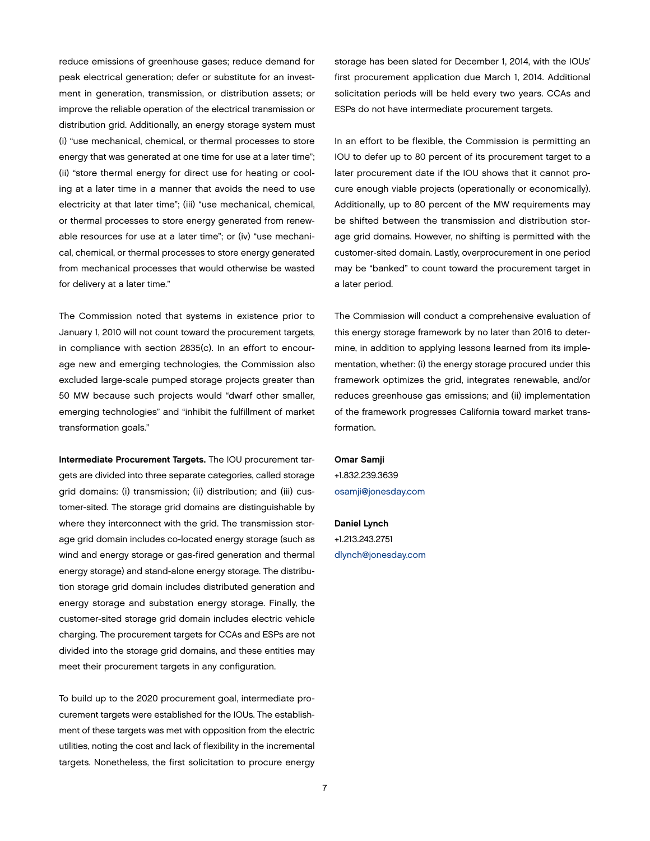reduce emissions of greenhouse gases; reduce demand for peak electrical generation; defer or substitute for an investment in generation, transmission, or distribution assets; or improve the reliable operation of the electrical transmission or distribution grid. Additionally, an energy storage system must (i) "use mechanical, chemical, or thermal processes to store energy that was generated at one time for use at a later time"; (ii) "store thermal energy for direct use for heating or cooling at a later time in a manner that avoids the need to use electricity at that later time"; (iii) "use mechanical, chemical, or thermal processes to store energy generated from renewable resources for use at a later time"; or (iv) "use mechanical, chemical, or thermal processes to store energy generated from mechanical processes that would otherwise be wasted for delivery at a later time."

The Commission noted that systems in existence prior to January 1, 2010 will not count toward the procurement targets, in compliance with section 2835(c). In an effort to encourage new and emerging technologies, the Commission also excluded large-scale pumped storage projects greater than 50 MW because such projects would "dwarf other smaller, emerging technologies" and "inhibit the fulfillment of market transformation goals."

Intermediate Procurement Targets. The IOU procurement targets are divided into three separate categories, called storage grid domains: (i) transmission; (ii) distribution; and (iii) customer-sited. The storage grid domains are distinguishable by where they interconnect with the grid. The transmission storage grid domain includes co-located energy storage (such as wind and energy storage or gas-fired generation and thermal energy storage) and stand-alone energy storage. The distribution storage grid domain includes distributed generation and energy storage and substation energy storage. Finally, the customer-sited storage grid domain includes electric vehicle charging. The procurement targets for CCAs and ESPs are not divided into the storage grid domains, and these entities may meet their procurement targets in any configuration.

To build up to the 2020 procurement goal, intermediate procurement targets were established for the IOUs. The establishment of these targets was met with opposition from the electric utilities, noting the cost and lack of flexibility in the incremental targets. Nonetheless, the first solicitation to procure energy storage has been slated for December 1, 2014, with the IOUs' first procurement application due March 1, 2014. Additional solicitation periods will be held every two years. CCAs and ESPs do not have intermediate procurement targets.

In an effort to be flexible, the Commission is permitting an IOU to defer up to 80 percent of its procurement target to a later procurement date if the IOU shows that it cannot procure enough viable projects (operationally or economically). Additionally, up to 80 percent of the MW requirements may be shifted between the transmission and distribution storage grid domains. However, no shifting is permitted with the customer-sited domain. Lastly, overprocurement in one period may be "banked" to count toward the procurement target in a later period.

The Commission will conduct a comprehensive evaluation of this energy storage framework by no later than 2016 to determine, in addition to applying lessons learned from its implementation, whether: (i) the energy storage procured under this framework optimizes the grid, integrates renewable, and/or reduces greenhouse gas emissions; and (ii) implementation of the framework progresses California toward market transformation.

Omar Samji +1.832.239.3639 [osamji@jonesday.com](mailto:osamji%40jonesday.com?subject=)

Daniel Lynch +1.213.243.2751 [dlynch@jonesday.com](mailto:dlynch%40jonesday.com?subject=)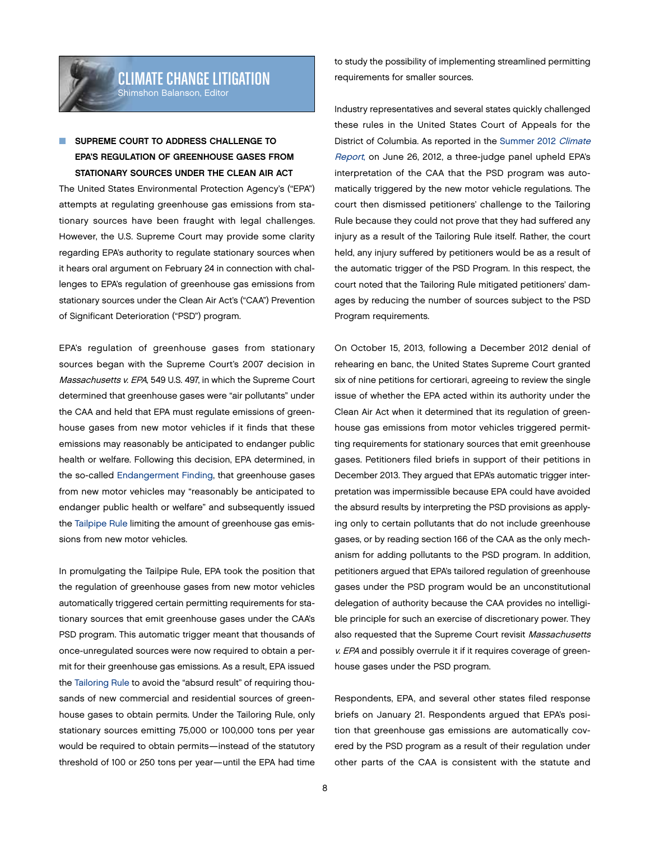# <span id="page-7-0"></span>SUPREME COURT TO ADDRESS CHALLENGE TO EPA'S REGULATION OF GREENHOUSE GASES FROM STATIONARY SOURCES UNDER THE CLEAN AIR ACT

The United States Environmental Protection Agency's ("EPA") attempts at regulating greenhouse gas emissions from stationary sources have been fraught with legal challenges. However, the U.S. Supreme Court may provide some clarity regarding EPA's authority to regulate stationary sources when it hears oral argument on February 24 in connection with challenges to EPA's regulation of greenhouse gas emissions from stationary sources under the Clean Air Act's ("CAA") Prevention of Significant Deterioration ("PSD") program.

EPA's regulation of greenhouse gases from stationary sources began with the Supreme Court's 2007 decision in Massachusetts v. EPA, 549 U.S. 497, in which the Supreme Court determined that greenhouse gases were "air pollutants" under the CAA and held that EPA must regulate emissions of greenhouse gases from new motor vehicles if it finds that these emissions may reasonably be anticipated to endanger public health or welfare. Following this decision, EPA determined, in the so-called [Endangerment Finding,](http://www.gpo.gov/fdsys/pkg/FR-2009-12-15/pdf/E9-29537.pdf) that greenhouse gases from new motor vehicles may "reasonably be anticipated to endanger public health or welfare" and subsequently issued the [Tailpipe Rule](http://www.gpo.gov/fdsys/pkg/FR-2010-05-07/pdf/2010-8159.pdf) limiting the amount of greenhouse gas emissions from new motor vehicles.

In promulgating the Tailpipe Rule, EPA took the position that the regulation of greenhouse gases from new motor vehicles automatically triggered certain permitting requirements for stationary sources that emit greenhouse gases under the CAA's PSD program. This automatic trigger meant that thousands of once-unregulated sources were now required to obtain a permit for their greenhouse gas emissions. As a result, EPA issued the [Tailoring Rule](http://www.gpo.gov/fdsys/pkg/FR-2010-12-30/pdf/2010-32757.pdf) to avoid the "absurd result" of requiring thousands of new commercial and residential sources of greenhouse gases to obtain permits. Under the Tailoring Rule, only stationary sources emitting 75,000 or 100,000 tons per year would be required to obtain permits—instead of the statutory threshold of 100 or 250 tons per year—until the EPA had time

to study the possibility of implementing streamlined permitting requirements for smaller sources.

Industry representatives and several states quickly challenged these rules in the United States Court of Appeals for the District of Columbia. As reported in the [Summer 2012](http://thewritestuff.jonesday.com/rv/ff0009b187bd15896db1c6c69d46a0159a5c2cb6/p=16) Climate [Report](http://thewritestuff.jonesday.com/rv/ff0009b187bd15896db1c6c69d46a0159a5c2cb6/p=16), on June 26, 2012, a three-judge panel upheld EPA's interpretation of the CAA that the PSD program was automatically triggered by the new motor vehicle regulations. The court then dismissed petitioners' challenge to the Tailoring Rule because they could not prove that they had suffered any injury as a result of the Tailoring Rule itself. Rather, the court held, any injury suffered by petitioners would be as a result of the automatic trigger of the PSD Program. In this respect, the court noted that the Tailoring Rule mitigated petitioners' damages by reducing the number of sources subject to the PSD Program requirements.

On October 15, 2013, following a December 2012 denial of rehearing en banc, the United States Supreme Court granted six of nine petitions for certiorari, agreeing to review the single issue of whether the EPA acted within its authority under the Clean Air Act when it determined that its regulation of greenhouse gas emissions from motor vehicles triggered permitting requirements for stationary sources that emit greenhouse gases. Petitioners filed briefs in support of their petitions in December 2013. They argued that EPA's automatic trigger interpretation was impermissible because EPA could have avoided the absurd results by interpreting the PSD provisions as applying only to certain pollutants that do not include greenhouse gases, or by reading section 166 of the CAA as the only mechanism for adding pollutants to the PSD program. In addition, petitioners argued that EPA's tailored regulation of greenhouse gases under the PSD program would be an unconstitutional delegation of authority because the CAA provides no intelligible principle for such an exercise of discretionary power. They also requested that the Supreme Court revisit Massachusetts v. EPA and possibly overrule it if it requires coverage of greenhouse gases under the PSD program.

Respondents, EPA, and several other states filed response briefs on January 21. Respondents argued that EPA's position that greenhouse gas emissions are automatically covered by the PSD program as a result of their regulation under other parts of the CAA is consistent with the statute and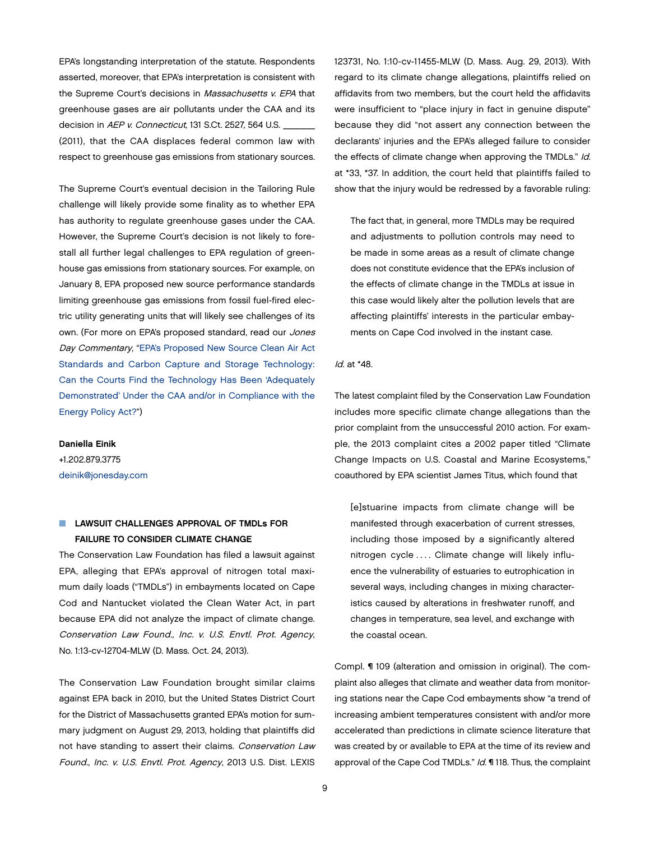EPA's longstanding interpretation of the statute. Respondents asserted, moreover, that EPA's interpretation is consistent with the Supreme Court's decisions in Massachusetts v. EPA that greenhouse gases are air pollutants under the CAA and its decision in AEP v. Connecticut, 131 S.Ct. 2527, 564 U.S. (2011), that the CAA displaces federal common law with respect to greenhouse gas emissions from stationary sources.

The Supreme Court's eventual decision in the Tailoring Rule challenge will likely provide some finality as to whether EPA has authority to regulate greenhouse gases under the CAA. However, the Supreme Court's decision is not likely to forestall all further legal challenges to EPA regulation of greenhouse gas emissions from stationary sources. For example, on January 8, EPA proposed new source performance standards limiting greenhouse gas emissions from fossil fuel-fired electric utility generating units that will likely see challenges of its own. (For more on EPA's proposed standard, read our Jones Day Commentary, ["EPA's Proposed New Source Clean Air Act](http://www.jonesday.com/epas-proposed-new-source-clean-air-act-standards-and-carbon-capture-and-storage-technology-01-31-2014/)  [Standards and Carbon Capture and Storage Technology:](http://www.jonesday.com/epas-proposed-new-source-clean-air-act-standards-and-carbon-capture-and-storage-technology-01-31-2014/)  [Can the Courts Find the Technology Has Been 'Adequately](http://www.jonesday.com/epas-proposed-new-source-clean-air-act-standards-and-carbon-capture-and-storage-technology-01-31-2014/)  [Demonstrated' Under the CAA and/or in Compliance with the](http://www.jonesday.com/epas-proposed-new-source-clean-air-act-standards-and-carbon-capture-and-storage-technology-01-31-2014/)  [Energy Policy Act?"](http://www.jonesday.com/epas-proposed-new-source-clean-air-act-standards-and-carbon-capture-and-storage-technology-01-31-2014/))

## Daniella Einik

+1.202.879.3775 [deinik@jonesday.com](mailto:deinik%40jonesday.com?subject=)

# **N** LAWSUIT CHALLENGES APPROVAL OF TMDLs FOR FAILURE TO CONSIDER CLIMATE CHANGE

The Conservation Law Foundation has filed a lawsuit against EPA, alleging that EPA's approval of nitrogen total maximum daily loads ("TMDLs") in embayments located on Cape Cod and Nantucket violated the Clean Water Act, in part because EPA did not analyze the impact of climate change. Conservation Law Found., Inc. v. U.S. Envtl. Prot. Agency, No. 1:13-cv-12704-MLW (D. Mass. Oct. 24, 2013).

The Conservation Law Foundation brought similar claims against EPA back in 2010, but the United States District Court for the District of Massachusetts granted EPA's motion for summary judgment on August 29, 2013, holding that plaintiffs did not have standing to assert their claims. Conservation Law Found., Inc. v. U.S. Envtl. Prot. Agency, 2013 U.S. Dist. LEXIS

123731, No. 1:10-cv-11455-MLW (D. Mass. Aug. 29, 2013). With regard to its climate change allegations, plaintiffs relied on affidavits from two members, but the court held the affidavits were insufficient to "place injury in fact in genuine dispute" because they did "not assert any connection between the declarants' injuries and the EPA's alleged failure to consider the effects of climate change when approving the TMDLs." Id. at \*33, \*37. In addition, the court held that plaintiffs failed to show that the injury would be redressed by a favorable ruling:

The fact that, in general, more TMDLs may be required and adjustments to pollution controls may need to be made in some areas as a result of climate change does not constitute evidence that the EPA's inclusion of the effects of climate change in the TMDLs at issue in this case would likely alter the pollution levels that are affecting plaintiffs' interests in the particular embayments on Cape Cod involved in the instant case.

#### Id. at \*48.

The latest complaint filed by the Conservation Law Foundation includes more specific climate change allegations than the prior complaint from the unsuccessful 2010 action. For example, the 2013 complaint cites a 2002 paper titled "Climate Change Impacts on U.S. Coastal and Marine Ecosystems," coauthored by EPA scientist James Titus, which found that

[e]stuarine impacts from climate change will be manifested through exacerbation of current stresses, including those imposed by a significantly altered nitrogen cycle .... Climate change will likely influence the vulnerability of estuaries to eutrophication in several ways, including changes in mixing characteristics caused by alterations in freshwater runoff, and changes in temperature, sea level, and exchange with the coastal ocean.

Compl. ¶ 109 (alteration and omission in original). The complaint also alleges that climate and weather data from monitoring stations near the Cape Cod embayments show "a trend of increasing ambient temperatures consistent with and/or more accelerated than predictions in climate science literature that was created by or available to EPA at the time of its review and approval of the Cape Cod TMDLs." Id. ¶ 118. Thus, the complaint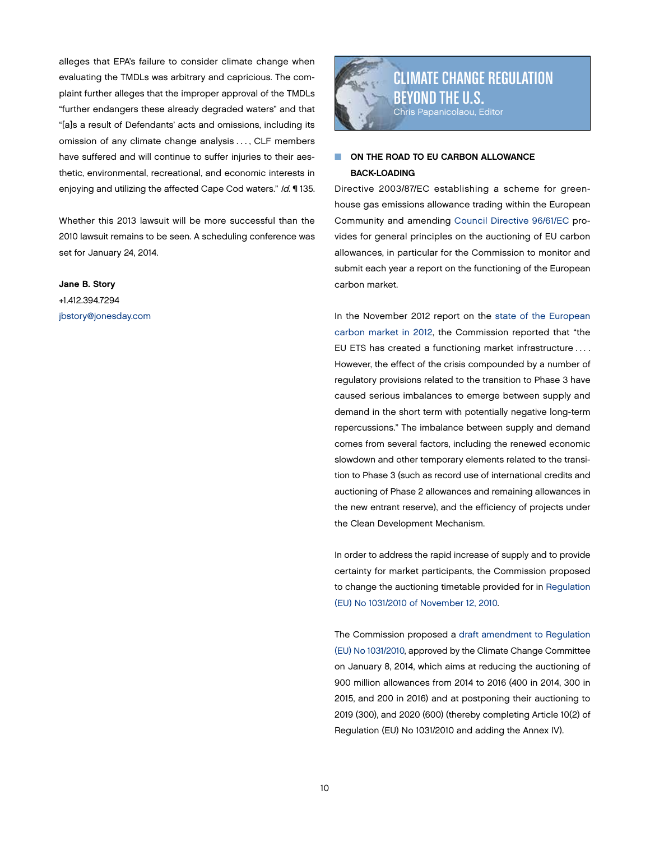<span id="page-9-0"></span>alleges that EPA's failure to consider climate change when evaluating the TMDLs was arbitrary and capricious. The complaint further alleges that the improper approval of the TMDLs "further endangers these already degraded waters" and that "[a]s a result of Defendants' acts and omissions, including its omission of any climate change analysis . . . , CLF members have suffered and will continue to suffer injuries to their aesthetic, environmental, recreational, and economic interests in enjoying and utilizing the affected Cape Cod waters." Id. ¶ 135.

Whether this 2013 lawsuit will be more successful than the 2010 lawsuit remains to be seen. A scheduling conference was set for January 24, 2014.

Jane B. Story +1.412.394.7294 [jbstory@jonesday.com](mailto:jbstory%40jonesday.com?subject=)



# **NO ON THE ROAD TO EU CARBON ALLOWANCE** BACK-LOADING

Directive 2003/87/EC establishing a scheme for greenhouse gas emissions allowance trading within the European Community and amending [Council Directive 96/61/EC](http://eur-lex.europa.eu/LexUriServ/LexUriServ.do?uri=CONSLEG:2003L0087:20130701:EN:PDF) provides for general principles on the auctioning of EU carbon allowances, in particular for the Commission to monitor and submit each year a report on the functioning of the European carbon market.

In the November 2012 report on the [state of the European](http://ec.europa.eu/clima/policies/ets/reform/docs/com_2012_652_en.pdf) [carbon market in 2012,](http://ec.europa.eu/clima/policies/ets/reform/docs/com_2012_652_en.pdf) the Commission reported that "the EU ETS has created a functioning market infrastructure . . . . However, the effect of the crisis compounded by a number of regulatory provisions related to the transition to Phase 3 have caused serious imbalances to emerge between supply and demand in the short term with potentially negative long-term repercussions." The imbalance between supply and demand comes from several factors, including the renewed economic slowdown and other temporary elements related to the transition to Phase 3 (such as record use of international credits and auctioning of Phase 2 allowances and remaining allowances in the new entrant reserve), and the efficiency of projects under the Clean Development Mechanism.

In order to address the rapid increase of supply and to provide certainty for market participants, the Commission proposed to change the auctioning timetable provided for in [Regulation](http://eur-lex.europa.eu/LexUriServ/LexUriServ.do?uri=CONSLEG:2010R1031:20121110:EN:PDF) [\(EU\) No 1031/2010 of November 12, 2010.](http://eur-lex.europa.eu/LexUriServ/LexUriServ.do?uri=CONSLEG:2010R1031:20121110:EN:PDF)

The Commission proposed a [draft amendment to Regulation](http://ec.europa.eu/clima/policies/ets/reform/docs/com_2014_xxx_en.pdf) [\(EU\) No 1031/2010](http://ec.europa.eu/clima/policies/ets/reform/docs/com_2014_xxx_en.pdf), approved by the Climate Change Committee on January 8, 2014, which aims at reducing the auctioning of 900 million allowances from 2014 to 2016 (400 in 2014, 300 in 2015, and 200 in 2016) and at postponing their auctioning to 2019 (300), and 2020 (600) (thereby completing Article 10(2) of Regulation (EU) No 1031/2010 and adding the Annex IV).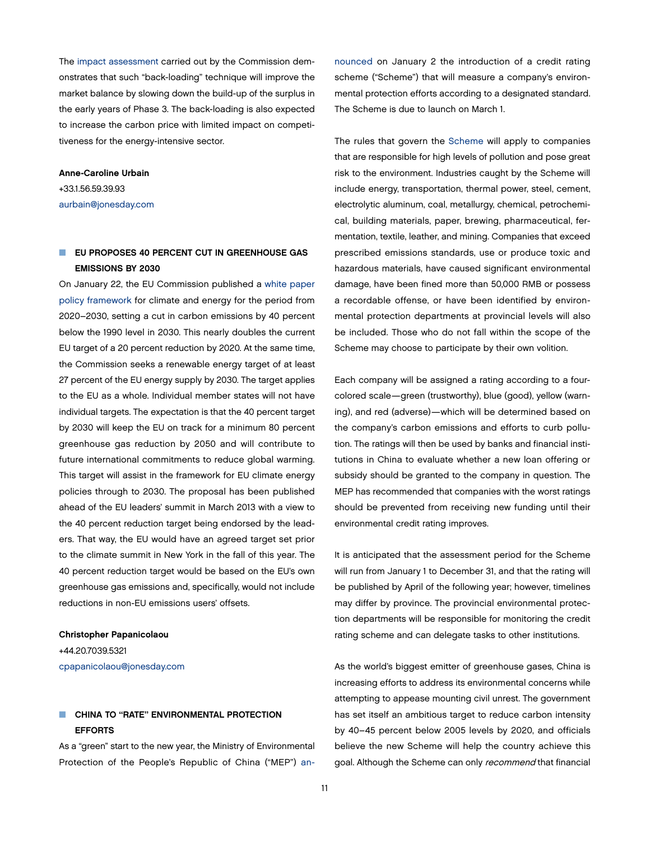The [impact assessment](http://ec.europa.eu/clima/policies/ets/cap/auctioning/docs/swd_2012_xx2_en.pdf) carried out by the Commission demonstrates that such "back-loading" technique will improve the market balance by slowing down the build-up of the surplus in the early years of Phase 3. The back-loading is also expected to increase the carbon price with limited impact on competitiveness for the energy-intensive sector.

## Anne-Caroline Urbain +33.1.56.59.39.93

[aurbain@jonesday.com](mailto:aurbain@jonesday.com)

# **NO EU PROPOSES 40 PERCENT CUT IN GREENHOUSE GAS** EMISSIONS BY 2030

On January 22, the EU Commission published a [white paper](http://ec.europa.eu/clima/policies/2030/docs/com_2014_15_en.pdf)  [policy framework](http://ec.europa.eu/clima/policies/2030/docs/com_2014_15_en.pdf) for climate and energy for the period from 2020–2030, setting a cut in carbon emissions by 40 percent below the 1990 level in 2030. This nearly doubles the current EU target of a 20 percent reduction by 2020. At the same time, the Commission seeks a renewable energy target of at least 27 percent of the EU energy supply by 2030. The target applies to the EU as a whole. Individual member states will not have individual targets. The expectation is that the 40 percent target by 2030 will keep the EU on track for a minimum 80 percent greenhouse gas reduction by 2050 and will contribute to future international commitments to reduce global warming. This target will assist in the framework for EU climate energy policies through to 2030. The proposal has been published ahead of the EU leaders' summit in March 2013 with a view to the 40 percent reduction target being endorsed by the leaders. That way, the EU would have an agreed target set prior to the climate summit in New York in the fall of this year. The 40 percent reduction target would be based on the EU's own greenhouse gas emissions and, specifically, would not include reductions in non-EU emissions users' offsets.

## Christopher Papanicolaou

+44.20.7039.5321 [cpapanicolaou@jonesday.com](mailto:cpapanicolaou@jonesday.com)

# **N** CHINA TO "RATE" ENVIRONMENTAL PROTECTION EFFORTS

As a "green" start to the new year, the Ministry of Environmental Protection of the People's Republic of China ("MEP") [an-](http://www.mep.gov.cn/gkml/hbb/qt/201401/t20140108_266180.htm?COLLCC=756214412&) [nounced](http://www.mep.gov.cn/gkml/hbb/qt/201401/t20140108_266180.htm?COLLCC=756214412&) on January 2 the introduction of a credit rating scheme ("Scheme") that will measure a company's environmental protection efforts according to a designated standard. The Scheme is due to launch on March 1.

The rules that govern the [Scheme](http://www.mep.gov.cn/gkml/hbb/bwj/201401/W020140102498719710099.pdf) will apply to companies that are responsible for high levels of pollution and pose great risk to the environment. Industries caught by the Scheme will include energy, transportation, thermal power, steel, cement, electrolytic aluminum, coal, metallurgy, chemical, petrochemical, building materials, paper, brewing, pharmaceutical, fermentation, textile, leather, and mining. Companies that exceed prescribed emissions standards, use or produce toxic and hazardous materials, have caused significant environmental damage, have been fined more than 50,000 RMB or possess a recordable offense, or have been identified by environmental protection departments at provincial levels will also be included. Those who do not fall within the scope of the Scheme may choose to participate by their own volition.

Each company will be assigned a rating according to a fourcolored scale—green (trustworthy), blue (good), yellow (warning), and red (adverse)—which will be determined based on the company's carbon emissions and efforts to curb pollution. The ratings will then be used by banks and financial institutions in China to evaluate whether a new loan offering or subsidy should be granted to the company in question. The MEP has recommended that companies with the worst ratings should be prevented from receiving new funding until their environmental credit rating improves.

It is anticipated that the assessment period for the Scheme will run from January 1 to December 31, and that the rating will be published by April of the following year; however, timelines may differ by province. The provincial environmental protection departments will be responsible for monitoring the credit rating scheme and can delegate tasks to other institutions.

As the world's biggest emitter of greenhouse gases, China is increasing efforts to address its environmental concerns while attempting to appease mounting civil unrest. The government has set itself an ambitious target to reduce carbon intensity by 40–45 percent below 2005 levels by 2020, and officials believe the new Scheme will help the country achieve this goal. Although the Scheme can only recommend that financial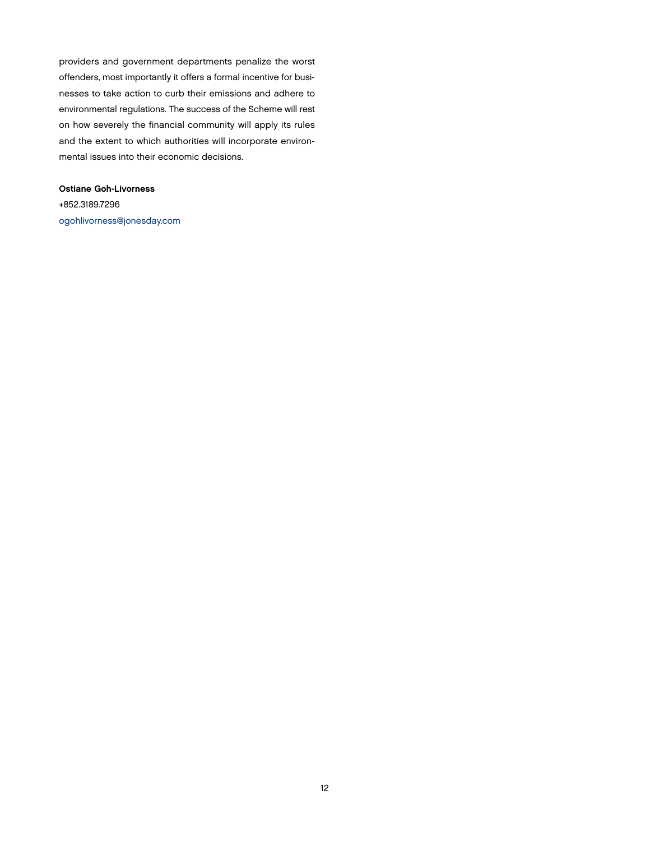providers and government departments penalize the worst offenders, most importantly it offers a formal incentive for businesses to take action to curb their emissions and adhere to environmental regulations. The success of the Scheme will rest on how severely the financial community will apply its rules and the extent to which authorities will incorporate environmental issues into their economic decisions.

Ostiane Goh-Livorness +852.3189.7296 [ogohlivorness@jonesday.com](mailto:ogohlivorness@jonesday.com)